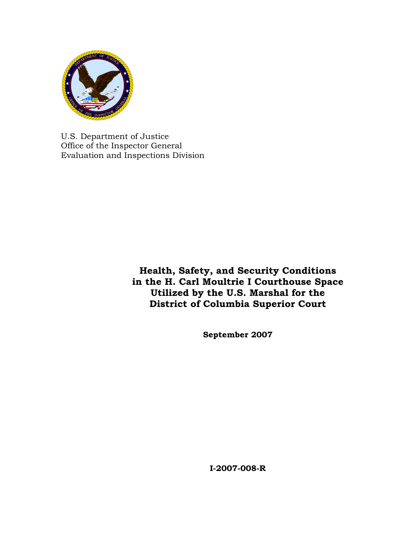

U.S. Department of Justice Office of the Inspector General Evaluation and Inspections Division

> **Health, Safety, and Security Conditions in the H. Carl Moultrie I Courthouse Space Utilized by the U.S. Marshal for the District of Columbia Superior Court**

> > **September 2007**

**I-2007-008-R**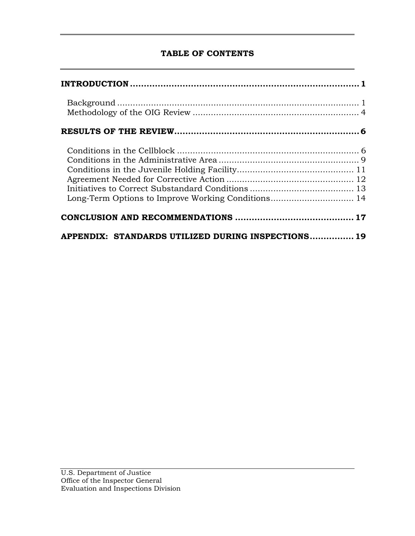## **TABLE OF CONTENTS**

| APPENDIX: STANDARDS UTILIZED DURING INSPECTIONS 19 |  |
|----------------------------------------------------|--|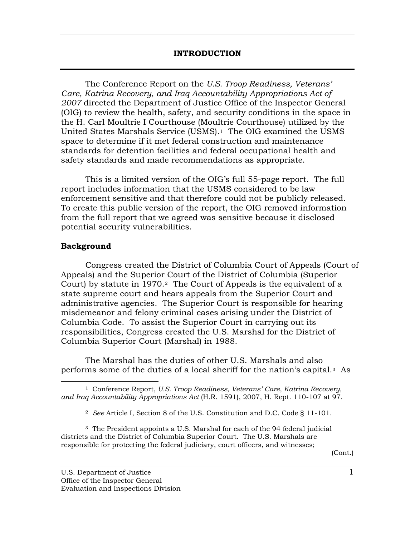<span id="page-2-0"></span> The Conference Report on the *U.S. Troop Readiness, Veterans' Care, Katrina Recovery, and Iraq Accountability Appropriations Act of 2007* directed the Department of Justice Office of the Inspector General (OIG) to review the health, safety, and security conditions in the space in the H. Carl Moultrie I Courthouse (Moultrie Courthouse) utilized by the United States Marshals Service (USMS).[1](#page-2-1) The OIG examined the USMS space to determine if it met federal construction and maintenance standards for detention facilities and federal occupational health and safety standards and made recommendations as appropriate.

This is a limited version of the OIG's full 55-page report. The full report includes information that the USMS considered to be law enforcement sensitive and that therefore could not be publicly released. To create this public version of the report, the OIG removed information from the full report that we agreed was sensitive because it disclosed potential security vulnerabilities.

### **Background**

Congress created the District of Columbia Court of Appeals (Court of Appeals) and the Superior Court of the District of Columbia (Superior Court) by statute in 1970.[2](#page-2-2) The Court of Appeals is the equivalent of a state supreme court and hears appeals from the Superior Court and administrative agencies. The Superior Court is responsible for hearing misdemeanor and felony criminal cases arising under the District of Columbia Code. To assist the Superior Court in carrying out its responsibilities, Congress created the U.S. Marshal for the District of Columbia Superior Court (Marshal) in 1988.

 The Marshal has the duties of other U.S. Marshals and also performs some of the duties of a local sheriff for the nation's capital.[3](#page-2-3) As

<span id="page-2-3"></span><span id="page-2-2"></span>3 The President appoints a U.S. Marshal for each of the 94 federal judicial districts and the District of Columbia Superior Court. The U.S. Marshals are responsible for protecting the federal judiciary, court officers, and witnesses;

(Cont.)

<span id="page-2-1"></span><sup>-</sup>1 Conference Report, *U.S. Troop Readiness, Veterans' Care, Katrina Recovery, and Iraq Accountability Appropriations Act* (H.R. 1591), 2007, H. Rept. 110-107 at 97.

<sup>2</sup> *See* Article I, Section 8 of the U.S. Constitution and D.C. Code § 11-101.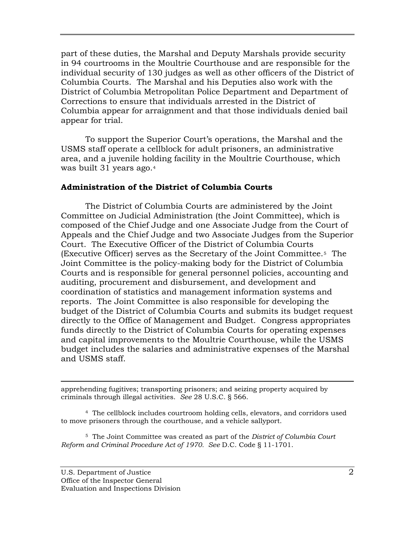part of these duties, the Marshal and Deputy Marshals provide security in 94 courtrooms in the Moultrie Courthouse and are responsible for the individual security of 130 judges as well as other officers of the District of Columbia Courts. The Marshal and his Deputies also work with the District of Columbia Metropolitan Police Department and Department of Corrections to ensure that individuals arrested in the District of Columbia appear for arraignment and that those individuals denied bail appear for trial.

To support the Superior Court's operations, the Marshal and the USMS staff operate a cellblock for adult prisoners, an administrative area, and a juvenile holding facility in the Moultrie Courthouse, which was built 31 years ago.[4](#page-3-0)

#### **Administration of the District of Columbia Courts**

The District of Columbia Courts are administered by the Joint Committee on Judicial Administration (the Joint Committee), which is composed of the Chief Judge and one Associate Judge from the Court of Appeals and the Chief Judge and two Associate Judges from the Superior Court. The Executive Officer of the District of Columbia Courts (Executive Officer) serves as the Secretary of the Joint Committee.[5](#page-3-1) The Joint Committee is the policy-making body for the District of Columbia Courts and is responsible for general personnel policies, accounting and auditing, procurement and disbursement, and development and coordination of statistics and management information systems and reports. The Joint Committee is also responsible for developing the budget of the District of Columbia Courts and submits its budget request directly to the Office of Management and Budget. Congress appropriates funds directly to the District of Columbia Courts for operating expenses and capital improvements to the Moultrie Courthouse, while the USMS budget includes the salaries and administrative expenses of the Marshal and USMS staff.

 $\overline{a}$ apprehending fugitives; transporting prisoners; and seizing property acquired by criminals through illegal activities. *See* 28 U.S.C. § 566.

<span id="page-3-0"></span>4 The cellblock includes courtroom holding cells, elevators, and corridors used to move prisoners through the courthouse, and a vehicle sallyport.

<span id="page-3-1"></span>5 The Joint Committee was created as part of the *District of Columbia Court Reform and Criminal Procedure Act of 1970. See* D.C. Code § 11-1701.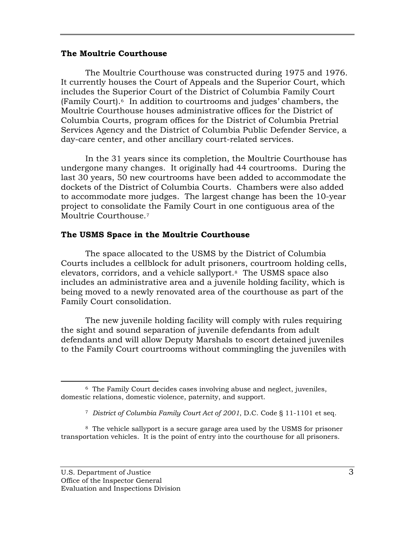#### **The Moultrie Courthouse**

The Moultrie Courthouse was constructed during 1975 and 1976. It currently houses the Court of Appeals and the Superior Court, which includes the Superior Court of the District of Columbia Family Court (Family Court).[6](#page-4-0) In addition to courtrooms and judges' chambers, the Moultrie Courthouse houses administrative offices for the District of Columbia Courts, program offices for the District of Columbia Pretrial Services Agency and the District of Columbia Public Defender Service, a day-care center, and other ancillary court-related services.

In the 31 years since its completion, the Moultrie Courthouse has undergone many changes. It originally had 44 courtrooms. During the last 30 years, 50 new courtrooms have been added to accommodate the dockets of the District of Columbia Courts. Chambers were also added to accommodate more judges. The largest change has been the 10-year project to consolidate the Family Court in one contiguous area of the Moultrie Courthouse.[7](#page-4-1)

#### **The USMS Space in the Moultrie Courthouse**

The space allocated to the USMS by the District of Columbia Courts includes a cellblock for adult prisoners, courtroom holding cells, elevators, corridors, and a vehicle sallyport.[8](#page-4-2) The USMS space also includes an administrative area and a juvenile holding facility, which is being moved to a newly renovated area of the courthouse as part of the Family Court consolidation.

The new juvenile holding facility will comply with rules requiring the sight and sound separation of juvenile defendants from adult defendants and will allow Deputy Marshals to escort detained juveniles to the Family Court courtrooms without commingling the juveniles with

<span id="page-4-2"></span><span id="page-4-1"></span>8 The vehicle sallyport is a secure garage area used by the USMS for prisoner transportation vehicles. It is the point of entry into the courthouse for all prisoners.

<span id="page-4-0"></span> $\overline{a}$ 6 The Family Court decides cases involving abuse and neglect, juveniles, domestic relations, domestic violence, paternity, and support.

<sup>7</sup> *District of Columbia Family Court Act of 2001*, D.C. Code § 11-1101 et seq.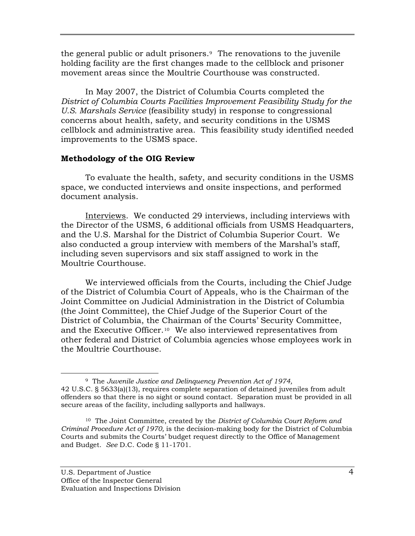<span id="page-5-0"></span>the general public or adult prisoners.[9](#page-5-1) The renovations to the juvenile holding facility are the first changes made to the cellblock and prisoner movement areas since the Moultrie Courthouse was constructed.

In May 2007, the District of Columbia Courts completed the *District of Columbia Courts Facilities Improvement Feasibility Study for the U.S. Marshals Service* (feasibility study) in response to congressional concerns about health, safety, and security conditions in the USMS cellblock and administrative area. This feasibility study identified needed improvements to the USMS space.

### **Methodology of the OIG Review**

To evaluate the health, safety, and security conditions in the USMS space, we conducted interviews and onsite inspections, and performed document analysis.

Interviews. We conducted 29 interviews, including interviews with the Director of the USMS, 6 additional officials from USMS Headquarters, and the U.S. Marshal for the District of Columbia Superior Court. We also conducted a group interview with members of the Marshal's staff, including seven supervisors and six staff assigned to work in the Moultrie Courthouse.

We interviewed officials from the Courts, including the Chief Judge of the District of Columbia Court of Appeals, who is the Chairman of the Joint Committee on Judicial Administration in the District of Columbia (the Joint Committee), the Chief Judge of the Superior Court of the District of Columbia, the Chairman of the Courts' Security Committee, and the Executive Officer.[10](#page-5-2) We also interviewed representatives from other federal and District of Columbia agencies whose employees work in the Moultrie Courthouse.

<span id="page-5-1"></span> <sup>9</sup> The *Juvenile Justice and Delinquency Prevention Act of 1974,*  42 U.S.C. § 5633(a)(13), requires complete separation of detained juveniles from adult offenders so that there is no sight or sound contact. Separation must be provided in all secure areas of the facility, including sallyports and hallways.

<span id="page-5-2"></span><sup>10</sup> The Joint Committee, created by the *District of Columbia Court Reform and Criminal Procedure Act of 1970,* is the decision-making body for the District of Columbia Courts and submits the Courts' budget request directly to the Office of Management and Budget. *See* D.C. Code § 11-1701.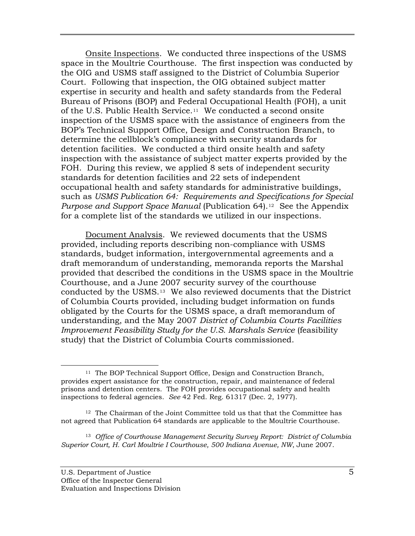Onsite Inspections. We conducted three inspections of the USMS space in the Moultrie Courthouse. The first inspection was conducted by the OIG and USMS staff assigned to the District of Columbia Superior Court. Following that inspection, the OIG obtained subject matter expertise in security and health and safety standards from the Federal Bureau of Prisons (BOP) and Federal Occupational Health (FOH), a unit of the U.S. Public Health Service.[11](#page-6-0) We conducted a second onsite inspection of the USMS space with the assistance of engineers from the BOP's Technical Support Office, Design and Construction Branch, to determine the cellblock's compliance with security standards for detention facilities. We conducted a third onsite health and safety inspection with the assistance of subject matter experts provided by the FOH. During this review, we applied 8 sets of independent security standards for detention facilities and 22 sets of independent occupational health and safety standards for administrative buildings, such as *USMS Publication 64: Requirements and Specifications for Special Purpose and Support Space Manual* (Publication 64).[12](#page-6-1) See the Appendix for a complete list of the standards we utilized in our inspections.

 Document Analysis. We reviewed documents that the USMS provided, including reports describing non-compliance with USMS standards, budget information, intergovernmental agreements and a draft memorandum of understanding, memoranda reports the Marshal provided that described the conditions in the USMS space in the Moultrie Courthouse, and a June 2007 security survey of the courthouse conducted by the USMS.[13](#page-6-2) We also reviewed documents that the District of Columbia Courts provided, including budget information on funds obligated by the Courts for the USMS space, a draft memorandum of understanding, and the May 2007 *District of Columbia Courts Facilities Improvement Feasibility Study for the U.S. Marshals Service* (feasibility study) that the District of Columbia Courts commissioned.

<span id="page-6-2"></span>13 *Office of Courthouse Management Security Survey Report: District of Columbia Superior Court, H. Carl Moultrie I Courthouse, 500 Indiana Avenue, NW*, June 2007.

<span id="page-6-0"></span> <sup>11</sup> The BOP Technical Support Office, Design and Construction Branch, provides expert assistance for the construction, repair, and maintenance of federal prisons and detention centers. The FOH provides occupational safety and health inspections to federal agencies. *See* 42 Fed. Reg. 61317 (Dec. 2, 1977).

<span id="page-6-1"></span><sup>12</sup> The Chairman of the Joint Committee told us that that the Committee has not agreed that Publication 64 standards are applicable to the Moultrie Courthouse.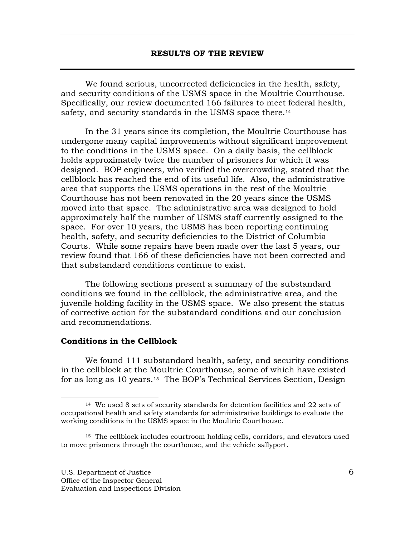<span id="page-7-1"></span><span id="page-7-0"></span>We found serious, uncorrected deficiencies in the health, safety, and security conditions of the USMS space in the Moultrie Courthouse. Specifically, our review documented 166 failures to meet federal health, safety, and security standards in the USMS space there.<sup>[14](#page-7-2)</sup>

In the 31 years since its completion, the Moultrie Courthouse has undergone many capital improvements without significant improvement to the conditions in the USMS space. On a daily basis, the cellblock holds approximately twice the number of prisoners for which it was designed. BOP engineers, who verified the overcrowding, stated that the cellblock has reached the end of its useful life. Also, the administrative area that supports the USMS operations in the rest of the Moultrie Courthouse has not been renovated in the 20 years since the USMS moved into that space. The administrative area was designed to hold approximately half the number of USMS staff currently assigned to the space. For over 10 years, the USMS has been reporting continuing health, safety, and security deficiencies to the District of Columbia Courts. While some repairs have been made over the last 5 years, our review found that 166 of these deficiencies have not been corrected and that substandard conditions continue to exist.

The following sections present a summary of the substandard conditions we found in the cellblock, the administrative area, and the juvenile holding facility in the USMS space. We also present the status of corrective action for the substandard conditions and our conclusion and recommendations.

#### **Conditions in the Cellblock**

We found 111 substandard health, safety, and security conditions in the cellblock at the Moultrie Courthouse, some of which have existed for as long as 10 years.[15](#page-7-3) The BOP's Technical Services Section, Design

<span id="page-7-2"></span><sup>&</sup>lt;sup>14</sup> We used 8 sets of security standards for detention facilities and 22 sets of occupational health and safety standards for administrative buildings to evaluate the working conditions in the USMS space in the Moultrie Courthouse.

<span id="page-7-3"></span><sup>15</sup> The cellblock includes courtroom holding cells, corridors, and elevators used to move prisoners through the courthouse, and the vehicle sallyport.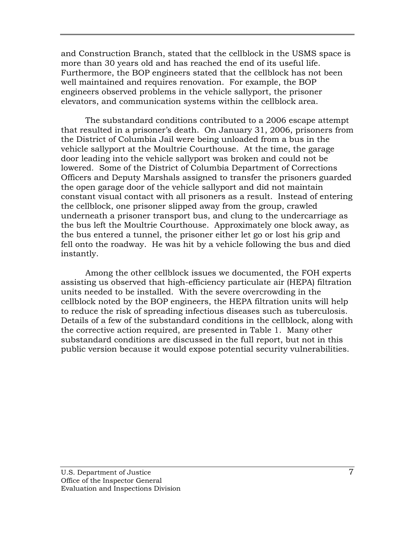and Construction Branch, stated that the cellblock in the USMS space is more than 30 years old and has reached the end of its useful life. Furthermore, the BOP engineers stated that the cellblock has not been well maintained and requires renovation. For example, the BOP engineers observed problems in the vehicle sallyport, the prisoner elevators, and communication systems within the cellblock area.

The substandard conditions contributed to a 2006 escape attempt that resulted in a prisoner's death. On January 31, 2006, prisoners from the District of Columbia Jail were being unloaded from a bus in the vehicle sallyport at the Moultrie Courthouse. At the time, the garage door leading into the vehicle sallyport was broken and could not be lowered. Some of the District of Columbia Department of Corrections Officers and Deputy Marshals assigned to transfer the prisoners guarded the open garage door of the vehicle sallyport and did not maintain constant visual contact with all prisoners as a result. Instead of entering the cellblock, one prisoner slipped away from the group, crawled underneath a prisoner transport bus, and clung to the undercarriage as the bus left the Moultrie Courthouse. Approximately one block away, as the bus entered a tunnel, the prisoner either let go or lost his grip and fell onto the roadway. He was hit by a vehicle following the bus and died instantly.

Among the other cellblock issues we documented, the FOH experts assisting us observed that high-efficiency particulate air (HEPA) filtration units needed to be installed. With the severe overcrowding in the cellblock noted by the BOP engineers, the HEPA filtration units will help to reduce the risk of spreading infectious diseases such as tuberculosis. Details of a few of the substandard conditions in the cellblock, along with the corrective action required, are presented in Table 1. Many other substandard conditions are discussed in the full report, but not in this public version because it would expose potential security vulnerabilities.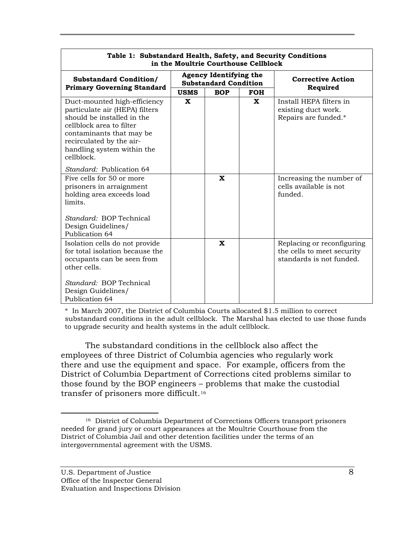| Table 1: Substandard Health, Safety, and Security Conditions<br>in the Moultrie Courthouse Cellblock                                                                                                                         |                                                               |             |              |                                                                                      |  |  |
|------------------------------------------------------------------------------------------------------------------------------------------------------------------------------------------------------------------------------|---------------------------------------------------------------|-------------|--------------|--------------------------------------------------------------------------------------|--|--|
| <b>Substandard Condition/</b><br><b>Primary Governing Standard</b>                                                                                                                                                           | <b>Agency Identifying the</b><br><b>Substandard Condition</b> |             |              | <b>Corrective Action</b>                                                             |  |  |
|                                                                                                                                                                                                                              | <b>USMS</b>                                                   | <b>BOP</b>  | <b>FOH</b>   | Required                                                                             |  |  |
| Duct-mounted high-efficiency<br>particulate air (HEPA) filters<br>should be installed in the<br>cellblock area to filter<br>contaminants that may be<br>recirculated by the air-<br>handling system within the<br>cellblock. | $\mathbf x$                                                   |             | $\mathbf{x}$ | Install HEPA filters in<br>existing duct work.<br>Repairs are funded.*               |  |  |
| <i>Standard:</i> Publication 64                                                                                                                                                                                              |                                                               |             |              |                                                                                      |  |  |
| Five cells for 50 or more<br>prisoners in arraignment<br>holding area exceeds load<br>limits.                                                                                                                                |                                                               | $\mathbf x$ |              | Increasing the number of<br>cells available is not<br>funded.                        |  |  |
| Standard: BOP Technical<br>Design Guidelines/<br>Publication 64                                                                                                                                                              |                                                               |             |              |                                                                                      |  |  |
| Isolation cells do not provide<br>for total isolation because the<br>occupants can be seen from<br>other cells.                                                                                                              |                                                               | $\mathbf x$ |              | Replacing or reconfiguring<br>the cells to meet security<br>standards is not funded. |  |  |
| Standard: BOP Technical<br>Design Guidelines/<br>Publication 64                                                                                                                                                              |                                                               |             |              |                                                                                      |  |  |

\* In March 2007, the District of Columbia Courts allocated \$1.5 million to correct substandard conditions in the adult cellblock. The Marshal has elected to use those funds to upgrade security and health systems in the adult cellblock.

The substandard conditions in the cellblock also affect the employees of three District of Columbia agencies who regularly work there and use the equipment and space. For example, officers from the District of Columbia Department of Corrections cited problems similar to those found by the BOP engineers – problems that make the custodial transfer of prisoners more difficult.[16](#page-9-0)

<span id="page-9-0"></span> <sup>16</sup> District of Columbia Department of Corrections Officers transport prisoners needed for grand jury or court appearances at the Moultrie Courthouse from the District of Columbia Jail and other detention facilities under the terms of an intergovernmental agreement with the USMS.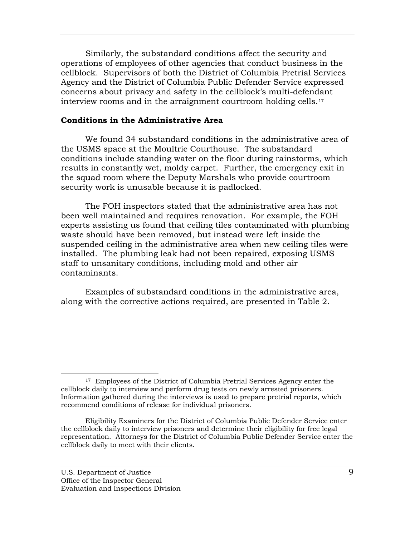<span id="page-10-0"></span>Similarly, the substandard conditions affect the security and operations of employees of other agencies that conduct business in the cellblock. Supervisors of both the District of Columbia Pretrial Services Agency and the District of Columbia Public Defender Service expressed concerns about privacy and safety in the cellblock's multi-defendant interview rooms and in the arraignment courtroom holding cells.[17](#page-10-1)

#### **Conditions in the Administrative Area**

We found 34 substandard conditions in the administrative area of the USMS space at the Moultrie Courthouse. The substandard conditions include standing water on the floor during rainstorms, which results in constantly wet, moldy carpet. Further, the emergency exit in the squad room where the Deputy Marshals who provide courtroom security work is unusable because it is padlocked.

The FOH inspectors stated that the administrative area has not been well maintained and requires renovation. For example, the FOH experts assisting us found that ceiling tiles contaminated with plumbing waste should have been removed, but instead were left inside the suspended ceiling in the administrative area when new ceiling tiles were installed. The plumbing leak had not been repaired, exposing USMS staff to unsanitary conditions, including mold and other air contaminants.

Examples of substandard conditions in the administrative area, along with the corrective actions required, are presented in Table 2.

 $\overline{a}$ 

<span id="page-10-1"></span><sup>&</sup>lt;sup>17</sup> Employees of the District of Columbia Pretrial Services Agency enter the cellblock daily to interview and perform drug tests on newly arrested prisoners. Information gathered during the interviews is used to prepare pretrial reports, which recommend conditions of release for individual prisoners.

Eligibility Examiners for the District of Columbia Public Defender Service enter the cellblock daily to interview prisoners and determine their eligibility for free legal representation. Attorneys for the District of Columbia Public Defender Service enter the cellblock daily to meet with their clients.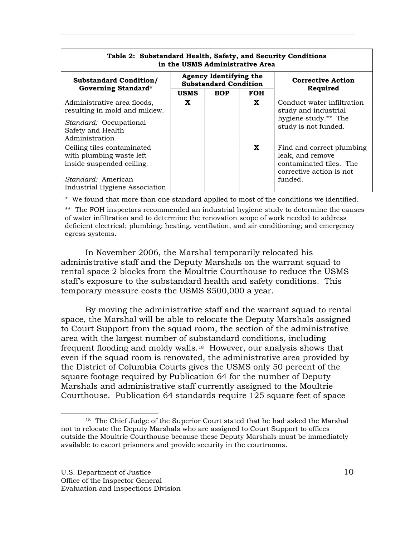| Table 2: Substandard Health, Safety, and Security Conditions<br>in the USMS Administrative Area                  |                                                        |            |                          |                                                                                                                 |  |  |
|------------------------------------------------------------------------------------------------------------------|--------------------------------------------------------|------------|--------------------------|-----------------------------------------------------------------------------------------------------------------|--|--|
| <b>Substandard Condition/</b><br><b>Governing Standard*</b>                                                      | Agency Identifying the<br><b>Substandard Condition</b> |            | <b>Corrective Action</b> |                                                                                                                 |  |  |
|                                                                                                                  | <b>USMS</b>                                            | <b>BOP</b> | <b>FOH</b>               | Required                                                                                                        |  |  |
| Administrative area floods,<br>resulting in mold and mildew.                                                     | X                                                      |            | X                        | Conduct water infiltration<br>study and industrial<br>hygiene study.** The                                      |  |  |
| <i>Standard:</i> Occupational<br>Safety and Health<br>Administration                                             |                                                        |            |                          | study is not funded.                                                                                            |  |  |
| Ceiling tiles contaminated<br>with plumbing waste left<br>inside suspended ceiling.<br><i>Standard:</i> American |                                                        |            | X                        | Find and correct plumbing<br>leak, and remove<br>contaminated tiles. The<br>corrective action is not<br>funded. |  |  |
| Industrial Hygiene Association                                                                                   |                                                        |            |                          |                                                                                                                 |  |  |

\* We found that more than one standard applied to most of the conditions we identified.

\*\* The FOH inspectors recommended an industrial hygiene study to determine the causes of water infiltration and to determine the renovation scope of work needed to address deficient electrical; plumbing; heating, ventilation, and air conditioning; and emergency egress systems.

In November 2006, the Marshal temporarily relocated his administrative staff and the Deputy Marshals on the warrant squad to rental space 2 blocks from the Moultrie Courthouse to reduce the USMS staff's exposure to the substandard health and safety conditions. This temporary measure costs the USMS \$500,000 a year.

By moving the administrative staff and the warrant squad to rental space, the Marshal will be able to relocate the Deputy Marshals assigned to Court Support from the squad room, the section of the administrative area with the largest number of substandard conditions, including frequent flooding and moldy walls.[18](#page-11-0) However, our analysis shows that even if the squad room is renovated, the administrative area provided by the District of Columbia Courts gives the USMS only 50 percent of the square footage required by Publication 64 for the number of Deputy Marshals and administrative staff currently assigned to the Moultrie Courthouse. Publication 64 standards require 125 square feet of space

<span id="page-11-0"></span><sup>&</sup>lt;sup>18</sup> The Chief Judge of the Superior Court stated that he had asked the Marshal not to relocate the Deputy Marshals who are assigned to Court Support to offices outside the Moultrie Courthouse because these Deputy Marshals must be immediately available to escort prisoners and provide security in the courtrooms.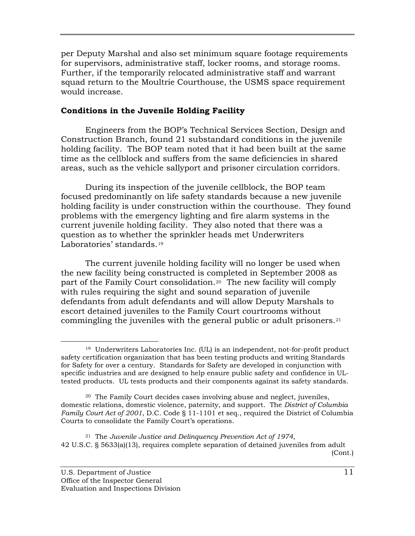<span id="page-12-0"></span>per Deputy Marshal and also set minimum square footage requirements for supervisors, administrative staff, locker rooms, and storage rooms. Further, if the temporarily relocated administrative staff and warrant squad return to the Moultrie Courthouse, the USMS space requirement would increase.

### **Conditions in the Juvenile Holding Facility**

Engineers from the BOP's Technical Services Section, Design and Construction Branch, found 21 substandard conditions in the juvenile holding facility. The BOP team noted that it had been built at the same time as the cellblock and suffers from the same deficiencies in shared areas, such as the vehicle sallyport and prisoner circulation corridors.

During its inspection of the juvenile cellblock, the BOP team focused predominantly on life safety standards because a new juvenile holding facility is under construction within the courthouse. They found problems with the emergency lighting and fire alarm systems in the current juvenile holding facility. They also noted that there was a question as to whether th[e](#page-12-1) sprinkler heads met Underwriters Laboratories' standards.<sup>[19](#page-12-1)</sup>

The current juvenile holding facility will no longer be used when the new facility being constructed is completed in September 2008 as part of the Family Court consolidation[.20](#page-12-2) The new facility will comply with rules requiring the sight and sound separation of juvenile defendants from adult defendants and will allow Deputy Marshals to escort detained juveniles to the Family Court courtrooms without commingling the juveniles with the general public or adult prisoners.[21](#page-12-3)

<span id="page-12-3"></span>(Cont.) 21 The *Juvenile Justice and Delinquency Prevention Act of 1974,*  42 U.S.C. § 5633(a)(13), requires complete separation of detained juveniles from adult

<span id="page-12-1"></span> $\overline{a}$ 19 Underwriters Laboratories Inc. (UL) is an independent, not-for-profit product safety certification organization that has been testing products and writing Standards for Safety for over a century. Standards for Safety are developed in conjunction with specific industries and are designed to help ensure public safety and confidence in ULtested products. UL tests products and their components against its safety standards.

<span id="page-12-2"></span><sup>20</sup> The Family Court decides cases involving abuse and neglect, juveniles, domestic relations, domestic violence, paternity, and support. The *District of Columbia Family Court Act of 2001*, D.C. Code § 11-1101 et seq., required the District of Columbia Courts to consolidate the Family Court's operations.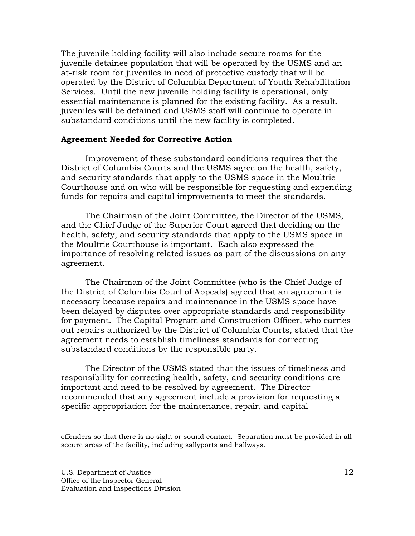<span id="page-13-0"></span>The juvenile holding facility will also include secure rooms for the juvenile detainee population that will be operated by the USMS and an at-risk room for juveniles in need of protective custody that will be operated by the District of Columbia Department of Youth Rehabilitation Services. Until the new juvenile holding facility is operational, only essential maintenance is planned for the existing facility. As a result, juveniles will be detained and USMS staff will continue to operate in substandard conditions until the new facility is completed.

#### **Agreement Needed for Corrective Action**

Improvement of these substandard conditions requires that the District of Columbia Courts and the USMS agree on the health, safety, and security standards that apply to the USMS space in the Moultrie Courthouse and on who will be responsible for requesting and expending funds for repairs and capital improvements to meet the standards.

The Chairman of the Joint Committee, the Director of the USMS, and the Chief Judge of the Superior Court agreed that deciding on the health, safety, and security standards that apply to the USMS space in the Moultrie Courthouse is important. Each also expressed the importance of resolving related issues as part of the discussions on any agreement.

The Chairman of the Joint Committee (who is the Chief Judge of the District of Columbia Court of Appeals) agreed that an agreement is necessary because repairs and maintenance in the USMS space have been delayed by disputes over appropriate standards and responsibility for payment. The Capital Program and Construction Officer, who carries out repairs authorized by the District of Columbia Courts, stated that the agreement needs to establish timeliness standards for correcting substandard conditions by the responsible party.

The Director of the USMS stated that the issues of timeliness and responsibility for correcting health, safety, and security conditions are important and need to be resolved by agreement. The Director recommended that any agreement include a provision for requesting a specific appropriation for the maintenance, repair, and capital

offenders so that there is no sight or sound contact. Separation must be provided in all secure areas of the facility, including sallyports and hallways.

 $\overline{a}$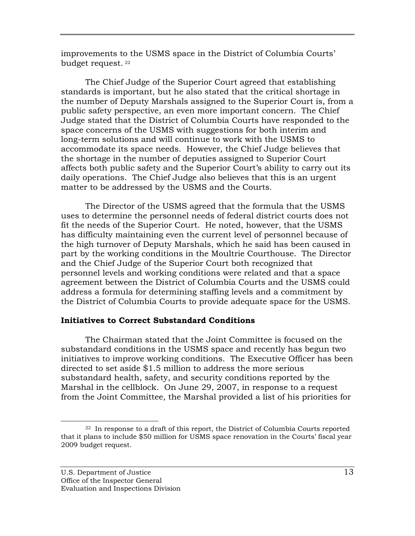<span id="page-14-0"></span>improvements to the USMS space in the District of Columbia Courts' budget request. [22](#page-14-1)

The Chief Judge of the Superior Court agreed that establishing standards is important, but he also stated that the critical shortage in the number of Deputy Marshals assigned to the Superior Court is, from a public safety perspective, an even more important concern. The Chief Judge stated that the District of Columbia Courts have responded to the space concerns of the USMS with suggestions for both interim and long-term solutions and will continue to work with the USMS to accommodate its space needs. However, the Chief Judge believes that the shortage in the number of deputies assigned to Superior Court affects both public safety and the Superior Court's ability to carry out its daily operations. The Chief Judge also believes that this is an urgent matter to be addressed by the USMS and the Courts.

The Director of the USMS agreed that the formula that the USMS uses to determine the personnel needs of federal district courts does not fit the needs of the Superior Court. He noted, however, that the USMS has difficulty maintaining even the current level of personnel because of the high turnover of Deputy Marshals, which he said has been caused in part by the working conditions in the Moultrie Courthouse. The Director and the Chief Judge of the Superior Court both recognized that personnel levels and working conditions were related and that a space agreement between the District of Columbia Courts and the USMS could address a formula for determining staffing levels and a commitment by the District of Columbia Courts to provide adequate space for the USMS.

### **Initiatives to Correct Substandard Conditions**

The Chairman stated that the Joint Committee is focused on the substandard conditions in the USMS space and recently has begun two initiatives to improve working conditions. The Executive Officer has been directed to set aside \$1.5 million to address the more serious substandard health, safety, and security conditions reported by the Marshal in the cellblock. On June 29, 2007, in response to a request from the Joint Committee, the Marshal provided a list of his priorities for

 $\overline{a}$ 

<span id="page-14-1"></span><sup>22</sup> In response to a draft of this report, the District of Columbia Courts reported that it plans to include \$50 million for USMS space renovation in the Courts' fiscal year 2009 budget request.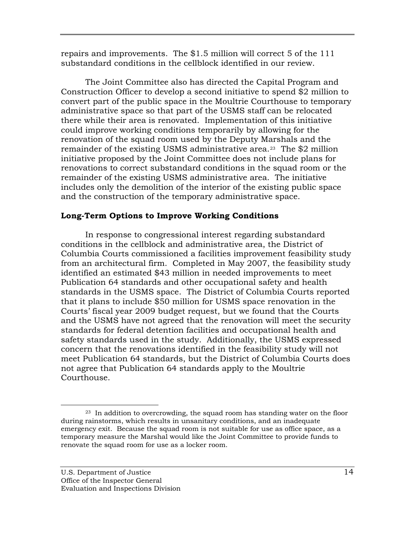<span id="page-15-0"></span>repairs and improvements. The \$1.5 million will correct 5 of the 111 substandard conditions in the cellblock identified in our review.

The Joint Committee also has directed the Capital Program and Construction Officer to develop a second initiative to spend \$2 million to convert part of the public space in the Moultrie Courthouse to temporary administrative space so that part of the USMS staff can be relocated there while their area is renovated. Implementation of this initiative could improve working conditions temporarily by allowing for the renovation of the squad room used by the Deputy Marshals and the remainder of the existing USMS administrative area.<sup>[23](#page-15-1)</sup> The \$2 million initiative proposed by the Joint Committee does not include plans for renovations to correct substandard conditions in the squad room or the remainder of the existing USMS administrative area. The initiative includes only the demolition of the interior of the existing public space and the construction of the temporary administrative space.

### **Long-Term Options to Improve Working Conditions**

In response to congressional interest regarding substandard conditions in the cellblock and administrative area, the District of Columbia Courts commissioned a facilities improvement feasibility study from an architectural firm. Completed in May 2007, the feasibility study identified an estimated \$43 million in needed improvements to meet Publication 64 standards and other occupational safety and health standards in the USMS space. The District of Columbia Courts reported that it plans to include \$50 million for USMS space renovation in the Courts' fiscal year 2009 budget request, but we found that the Courts and the USMS have not agreed that the renovation will meet the security standards for federal detention facilities and occupational health and safety standards used in the study. Additionally, the USMS expressed concern that the renovations identified in the feasibility study will not meet Publication 64 standards, but the District of Columbia Courts does not agree that Publication 64 standards apply to the Moultrie Courthouse.

<span id="page-15-1"></span> $\overline{a}$ 23 In addition to overcrowding, the squad room has standing water on the floor during rainstorms, which results in unsanitary conditions, and an inadequate emergency exit. Because the squad room is not suitable for use as office space, as a temporary measure the Marshal would like the Joint Committee to provide funds to renovate the squad room for use as a locker room.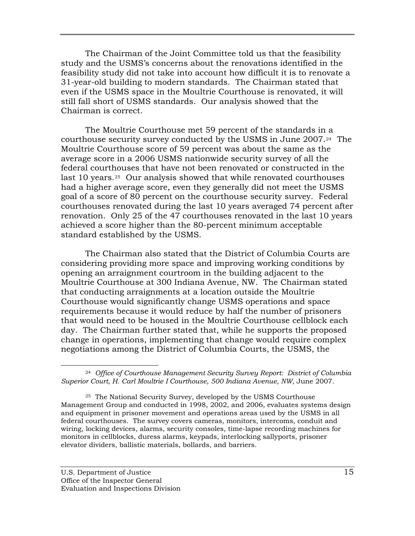The Chairman of the Joint Committee told us that the feasibility study and the USMS's concerns about the renovations identified in the feasibility study did not take into account how difficult it is to renovate a 31-year-old building to modern standards. The Chairman stated that even if the USMS space in the Moultrie Courthouse is renovated, it will still fall short of USMS standards. Our analysis showed that the Chairman is correct.

The Moultrie Courthouse met 59 percent of the standards in a courthouse security survey conducted by the USMS in June 2007.[24](#page-16-0) The Moultrie Courthouse score of 59 percent was about the same as the average score in a 2006 USMS nationwide security survey of all the federal courthouses that have not been renovated or constructed in the last 10 years.[25](#page-16-1) Our analysis showed that while renovated courthouses had a higher average score, even they generally did not meet the USMS goal of a score of 80 percent on the courthouse security survey. Federal courthouses renovated during the last 10 years averaged 74 percent after renovation. Only 25 of the 47 courthouses renovated in the last 10 years achieved a score higher than the 80-percent minimum acceptable standard established by the USMS.

The Chairman also stated that the District of Columbia Courts are considering providing more space and improving working conditions by opening an arraignment courtroom in the building adjacent to the Moultrie Courthouse at 300 Indiana Avenue, NW. The Chairman stated that conducting arraignments at a location outside the Moultrie Courthouse would significantly change USMS operations and space requirements because it would reduce by half the number of prisoners that would need to be housed in the Moultrie Courthouse cellblock each day. The Chairman further stated that, while he supports the proposed change in operations, implementing that change would require complex negotiations among the District of Columbia Courts, the USMS, the

 $\overline{a}$ 

<span id="page-16-0"></span><sup>24</sup> *Office of Courthouse Management Security Survey Report: District of Columbia Superior Court, H. Carl Moultrie I Courthouse, 500 Indiana Avenue, NW*, June 2007.

<span id="page-16-1"></span><sup>25</sup> The National Security Survey, developed by the USMS Courthouse Management Group and conducted in 1998, 2002, and 2006, evaluates systems design and equipment in prisoner movement and operations areas used by the USMS in all federal courthouses. The survey covers cameras, monitors, intercoms, conduit and wiring, locking devices, alarms, security consoles, time-lapse recording machines for monitors in cellblocks, duress alarms, keypads, interlocking sallyports, prisoner elevator dividers, ballistic materials, bollards, and barriers.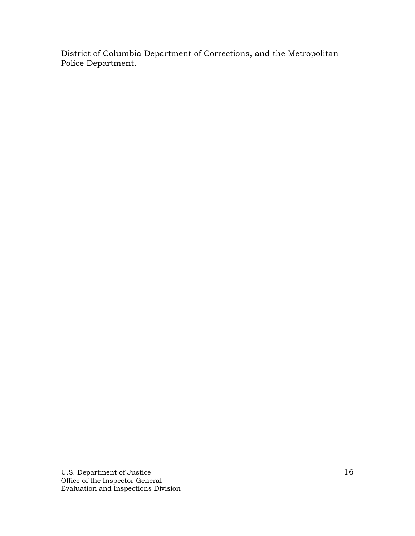District of Columbia Department of Corrections, and the Metropolitan Police Department.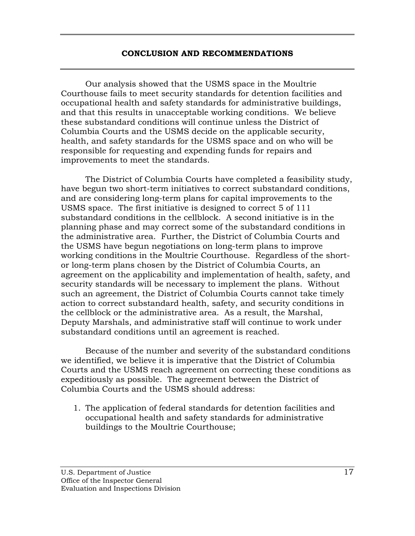#### **CONCLUSION AND RECOMMENDATIONS**

<span id="page-18-0"></span>Our analysis showed that the USMS space in the Moultrie Courthouse fails to meet security standards for detention facilities and occupational health and safety standards for administrative buildings, and that this results in unacceptable working conditions. We believe these substandard conditions will continue unless the District of Columbia Courts and the USMS decide on the applicable security, health, and safety standards for the USMS space and on who will be responsible for requesting and expending funds for repairs and improvements to meet the standards.

The District of Columbia Courts have completed a feasibility study, have begun two short-term initiatives to correct substandard conditions, and are considering long-term plans for capital improvements to the USMS space. The first initiative is designed to correct 5 of 111 substandard conditions in the cellblock. A second initiative is in the planning phase and may correct some of the substandard conditions in the administrative area. Further, the District of Columbia Courts and the USMS have begun negotiations on long-term plans to improve working conditions in the Moultrie Courthouse. Regardless of the shortor long-term plans chosen by the District of Columbia Courts, an agreement on the applicability and implementation of health, safety, and security standards will be necessary to implement the plans. Without such an agreement, the District of Columbia Courts cannot take timely action to correct substandard health, safety, and security conditions in the cellblock or the administrative area. As a result, the Marshal, Deputy Marshals, and administrative staff will continue to work under substandard conditions until an agreement is reached.

Because of the number and severity of the substandard conditions we identified, we believe it is imperative that the District of Columbia Courts and the USMS reach agreement on correcting these conditions as expeditiously as possible. The agreement between the District of Columbia Courts and the USMS should address:

1. The application of federal standards for detention facilities and occupational health and safety standards for administrative buildings to the Moultrie Courthouse;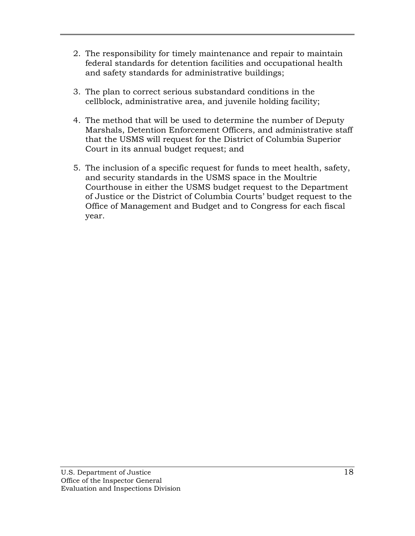- 2. The responsibility for timely maintenance and repair to maintain federal standards for detention facilities and occupational health and safety standards for administrative buildings;
- 3. The plan to correct serious substandard conditions in the cellblock, administrative area, and juvenile holding facility;
- 4. The method that will be used to determine the number of Deputy Marshals, Detention Enforcement Officers, and administrative staff that the USMS will request for the District of Columbia Superior Court in its annual budget request; and
- 5. The inclusion of a specific request for funds to meet health, safety, and security standards in the USMS space in the Moultrie Courthouse in either the USMS budget request to the Department of Justice or the District of Columbia Courts' budget request to the Office of Management and Budget and to Congress for each fiscal year.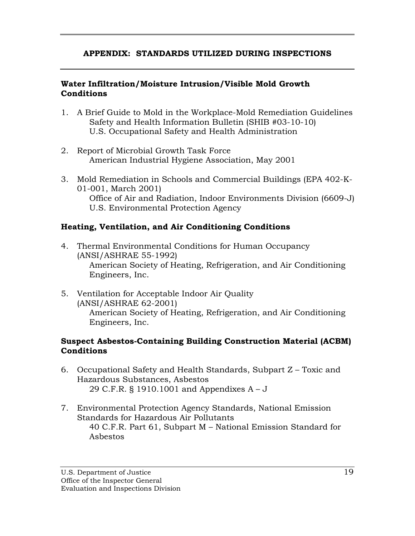## <span id="page-20-0"></span>**APPENDIX: STANDARDS UTILIZED DURING INSPECTIONS**

## **Water Infiltration/Moisture Intrusion/Visible Mold Growth Conditions**

- 1. A Brief Guide to Mold in the Workplace-Mold Remediation Guidelines Safety and Health Information Bulletin (SHIB #03-10-10) U.S. Occupational Safety and Health Administration
- 2. Report of Microbial Growth Task Force American Industrial Hygiene Association, May 2001
- 3. Mold Remediation in Schools and Commercial Buildings (EPA 402-K-01-001, March 2001) Office of Air and Radiation, Indoor Environments Division (6609-J) U.S. Environmental Protection Agency

## **Heating, Ventilation, and Air Conditioning Conditions**

- 4. Thermal Environmental Conditions for Human Occupancy (ANSI/ASHRAE 55-1992) American Society of Heating, Refrigeration, and Air Conditioning Engineers, Inc.
- 5. Ventilation for Acceptable Indoor Air Quality (ANSI/ASHRAE 62-2001) American Society of Heating, Refrigeration, and Air Conditioning Engineers, Inc.

## **Suspect Asbestos-Containing Building Construction Material (ACBM) Conditions**

- 6. Occupational Safety and Health Standards, Subpart Z Toxic and Hazardous Substances, Asbestos 29 C.F.R. § 1910.1001 and Appendixes A – J
- 7. Environmental Protection Agency Standards, National Emission Standards for Hazardous Air Pollutants 40 C.F.R. Part 61, Subpart M – National Emission Standard for Asbestos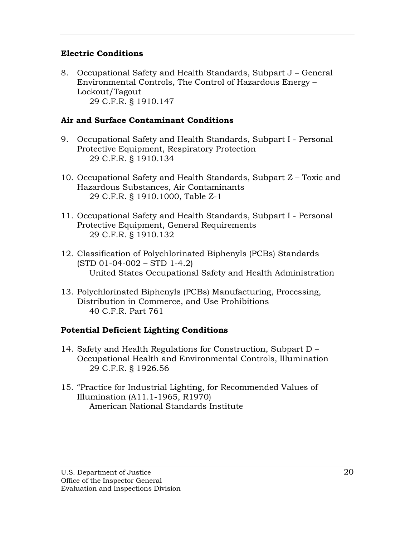## **Electric Conditions**

8. Occupational Safety and Health Standards, Subpart J – General Environmental Controls, The Control of Hazardous Energy – Lockout/Tagout 29 C.F.R. § 1910.147

## **Air and Surface Contaminant Conditions**

- 9. Occupational Safety and Health Standards, Subpart I Personal Protective Equipment, Respiratory Protection 29 C.F.R. § 1910.134
- 10. Occupational Safety and Health Standards, Subpart Z Toxic and Hazardous Substances, Air Contaminants 29 C.F.R. § 1910.1000, Table Z-1
- 11. Occupational Safety and Health Standards, Subpart I Personal Protective Equipment, General Requirements 29 C.F.R. § 1910.132
- 12. Classification of Polychlorinated Biphenyls (PCBs) Standards (STD 01-04-002 – STD 1-4.2) United States Occupational Safety and Health Administration
- 13. Polychlorinated Biphenyls (PCBs) Manufacturing, Processing, Distribution in Commerce, and Use Prohibitions 40 C.F.R. Part 761

# **Potential Deficient Lighting Conditions**

- 14. Safety and Health Regulations for Construction, Subpart D Occupational Health and Environmental Controls, Illumination 29 C.F.R. § 1926.56
- 15. "Practice for Industrial Lighting, for Recommended Values of Illumination (A11.1-1965, R1970) American National Standards Institute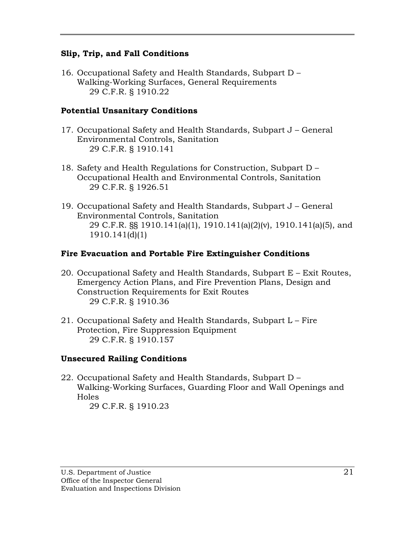### **Slip, Trip, and Fall Conditions**

16. Occupational Safety and Health Standards, Subpart D – Walking-Working Surfaces, General Requirements 29 C.F.R. § 1910.22

## **Potential Unsanitary Conditions**

- 17. Occupational Safety and Health Standards, Subpart J General Environmental Controls, Sanitation 29 C.F.R. § 1910.141
- 18. Safety and Health Regulations for Construction, Subpart D Occupational Health and Environmental Controls, Sanitation 29 C.F.R. § 1926.51
- 19. Occupational Safety and Health Standards, Subpart J General Environmental Controls, Sanitation 29 C.F.R. §§ 1910.141(a)(1), 1910.141(a)(2)(v), 1910.141(a)(5), and 1910.141(d)(1)

## **Fire Evacuation and Portable Fire Extinguisher Conditions**

- 20. Occupational Safety and Health Standards, Subpart E Exit Routes, Emergency Action Plans, and Fire Prevention Plans, Design and Construction Requirements for Exit Routes 29 C.F.R. § 1910.36
- 21. Occupational Safety and Health Standards, Subpart L Fire Protection, Fire Suppression Equipment 29 C.F.R. § 1910.157

# **Unsecured Railing Conditions**

22. Occupational Safety and Health Standards, Subpart D – Walking-Working Surfaces, Guarding Floor and Wall Openings and Holes 29 C.F.R. § 1910.23